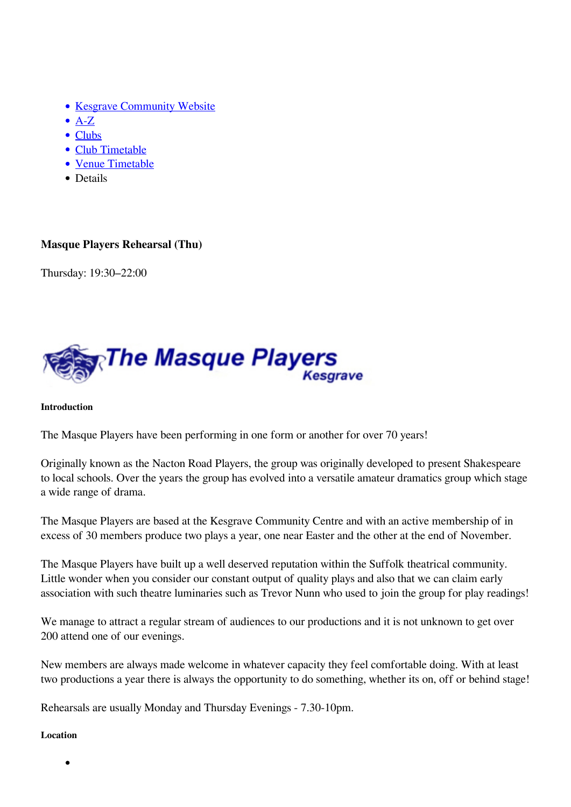- [Kesgrave Community Website](https://www.kesgrave.org.uk/kcw-home.html)
- $\bullet$  [A-Z](https://www.kesgrave.org.uk/kcw-a-z-info-link.html)
- [Clubs](https://www.kesgrave.org.uk/kcw-clubs-and-organisations.html)
- [Club Timetable](https://www.kesgrave.org.uk/kcw-club-timetable.html)
- [Venue Timetable](https://www.kesgrave.org.uk/kcw-club-timetable-by-location.html)
- Details

## **Masque Players Rehearsal (Thu)**

Thursday: 19:30–22:00



## **Introduction**

The Masque Players have been performing in one form or another for over 70 years!

Originally known as the Nacton Road Players, the group was originally developed to present Shakespeare to local schools. Over the years the group has evolved into a versatile amateur dramatics group which stage a wide range of drama.

The Masque Players are based at the Kesgrave Community Centre and with an active membership of in excess of 30 members produce two plays a year, one near Easter and the other at the end of November.

The Masque Players have built up a well deserved reputation within the Suffolk theatrical community. Little wonder when you consider our constant output of quality plays and also that we can claim early association with such theatre luminaries such as Trevor Nunn who used to join the group for play readings!

We manage to attract a regular stream of audiences to our productions and it is not unknown to get over 200 attend one of our evenings.

New members are always made welcome in whatever capacity they feel comfortable doing. With at least two productions a year there is always the opportunity to do something, whether its on, off or behind stage!

Rehearsals are usually Monday and Thursday Evenings - 7.30-10pm.

## **Location**

 $\bullet$